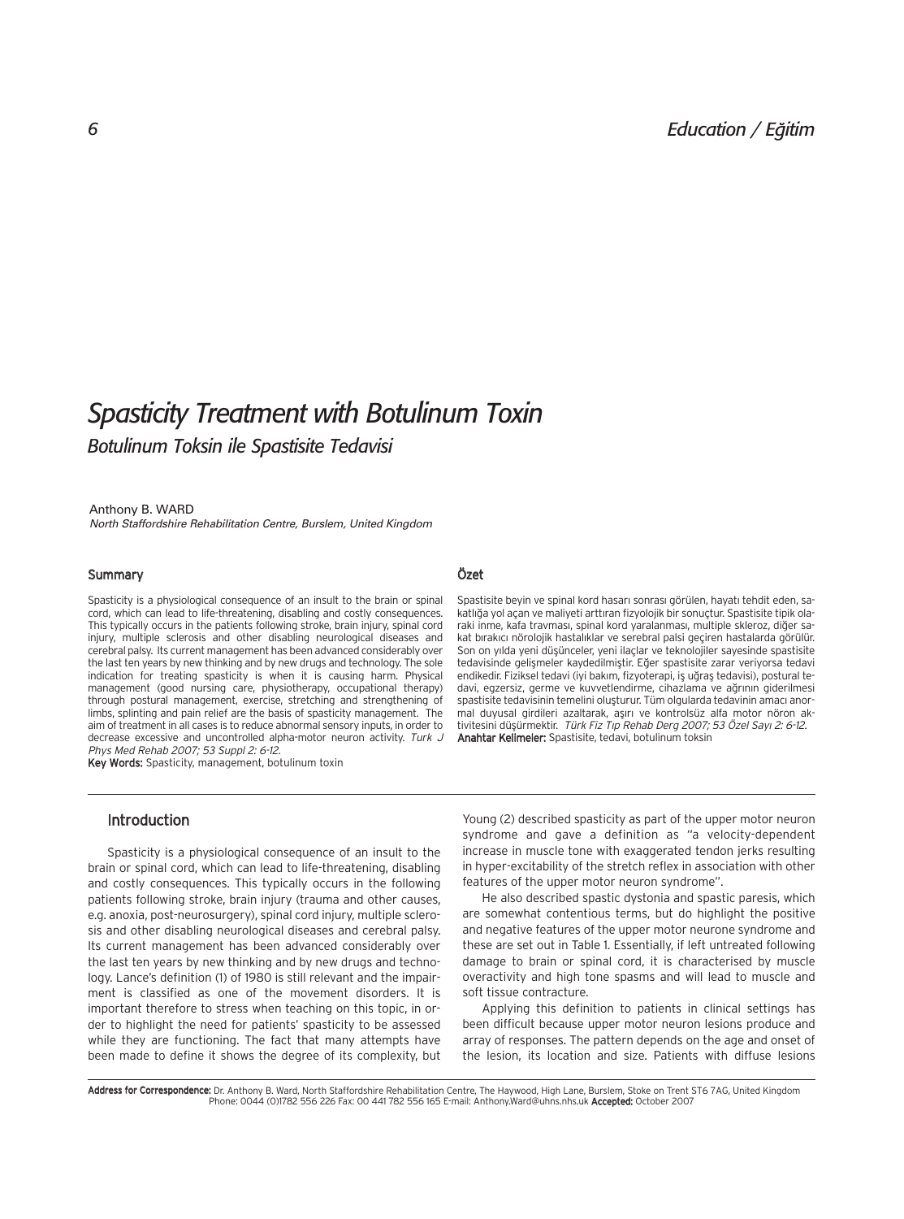# *Spasticity Treatment with Botulinum Toxin Botulinum Toksin ile Spastisite Tedavisi*

Anthony B. WARD *North Staffordshire Rehabilitation Centre, Burslem, United Kingdom*

#### Summary

Spasticity is a physiological consequence of an insult to the brain or spinal cord, which can lead to life-threatening, disabling and costly consequences. This typically occurs in the patients following stroke, brain injury, spinal cord injury, multiple sclerosis and other disabling neurological diseases and cerebral palsy. Its current management has been advanced considerably over the last ten years by new thinking and by new drugs and technology. The sole indication for treating spasticity is when it is causing harm. Physical management (good nursing care, physiotherapy, occupational therapy) through postural management, exercise, stretching and strengthening of limbs, splinting and pain relief are the basis of spasticity management. The aim of treatment in all cases is to reduce abnormal sensory inputs, in order to decrease excessive and uncontrolled alpha-motor neuron activity. Turk J Phys Med Rehab 2007; 53 Suppl 2: 6-12.

Key Words: Spasticity, management, botulinum toxin

# Introduction

Spasticity is a physiological consequence of an insult to the brain or spinal cord, which can lead to life-threatening, disabling and costly consequences. This typically occurs in the following patients following stroke, brain injury (trauma and other causes, e.g. anoxia, post-neurosurgery), spinal cord injury, multiple sclerosis and other disabling neurological diseases and cerebral palsy. Its current management has been advanced considerably over the last ten years by new thinking and by new drugs and technology. Lance's definition (1) of 1980 is still relevant and the impairment is classified as one of the movement disorders. It is important therefore to stress when teaching on this topic, in order to highlight the need for patients' spasticity to be assessed while they are functioning. The fact that many attempts have been made to define it shows the degree of its complexity, but

## Özet

Spastisite beyin ve spinal kord hasarı sonrası görülen, hayatı tehdit eden, sakatlığa yol açan ve maliyeti arttıran fizyolojik bir sonuçtur. Spastisite tipik olaraki inme, kafa travması, spinal kord yaralanması, multiple skleroz, diğer sakat bırakıcı nörolojik hastalıklar ve serebral palsi geçiren hastalarda görülür. Son on yılda yeni düşünceler, yeni ilaçlar ve teknolojiler sayesinde spastisite tedavisinde gelişmeler kaydedilmiştir. Eğer spastisite zarar veriyorsa tedavi endikedir. Fiziksel tedavi (iyi bakım, fizyoterapi, iş uğraş tedavisi), postural tedavi, egzersiz, germe ve kuvvetlendirme, cihazlama ve ağrının giderilmesi spastisite tedavisinin temelini olusturur. Tüm olgularda tedavinin amacı anormal duyusal girdileri azaltarak, aşırı ve kontrolsüz alfa motor nöron aktivitesini düşürmektir. Türk Fiz Tıp Rehab Derg 2007; 53 Özel Sayı 2: 6-12. Anahtar Kelimeler: Spastisite, tedavi, botulinum toksin

Young (2) described spasticity as part of the upper motor neuron syndrome and gave a definition as "a velocity-dependent increase in muscle tone with exaggerated tendon jerks resulting in hyper-excitability of the stretch reflex in association with other features of the upper motor neuron syndrome".

He also described spastic dystonia and spastic paresis, which are somewhat contentious terms, but do highlight the positive and negative features of the upper motor neurone syndrome and these are set out in Table 1. Essentially, if left untreated following damage to brain or spinal cord, it is characterised by muscle overactivity and high tone spasms and will lead to muscle and soft tissue contracture.

Applying this definition to patients in clinical settings has been difficult because upper motor neuron lesions produce and array of responses. The pattern depends on the age and onset of the lesion, its location and size. Patients with diffuse lesions

Address for Correspondence: Dr. Anthony B. Ward, North Staffordshire Rehabilitation Centre, The Haywood, High Lane, Burslem, Stoke on Trent ST6 7AG, United Kingdom Phone: 0044 (0)1782 556 226 Fax: 00 441 782 556 165 E-mail: Anthony.Ward@uhns.nhs.uk Accepted: October 2007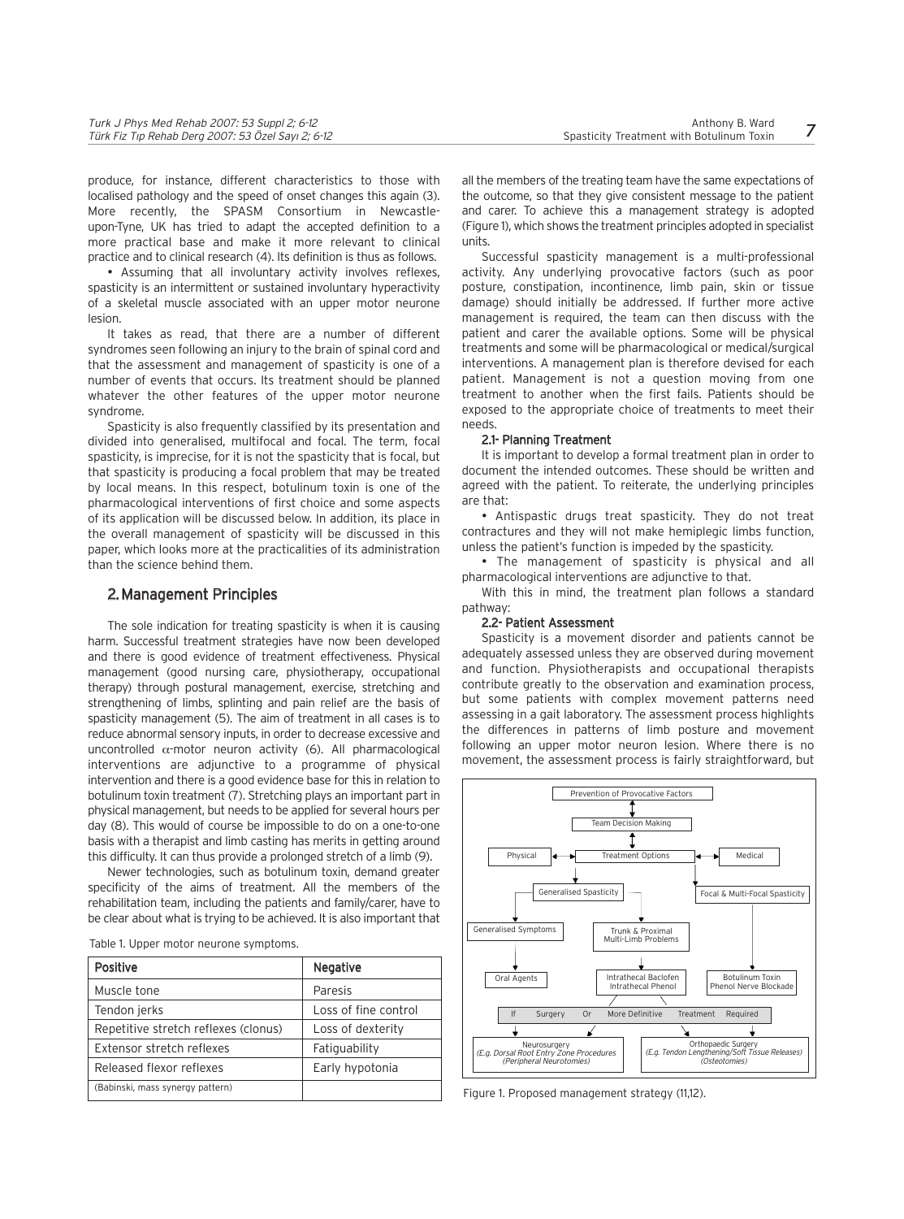| Turk J Phys Med Rehab 2007: 53 Suppl 2; 6-12       | Anthony B. Ward                           |  |
|----------------------------------------------------|-------------------------------------------|--|
| Türk Fiz Tıp Rehab Derg 2007: 53 Özel Sayı 2; 6-12 | Spasticity Treatment with Botulinum Toxin |  |

produce, for instance, different characteristics to those with localised pathology and the speed of onset changes this again (3). More recently, the SPASM Consortium in Newcastleupon-Tyne, UK has tried to adapt the accepted definition to a more practical base and make it more relevant to clinical practice and to clinical research (4). Its definition is thus as follows.

• Assuming that all involuntary activity involves reflexes, spasticity is an intermittent or sustained involuntary hyperactivity of a skeletal muscle associated with an upper motor neurone lesion.

It takes as read, that there are a number of different syndromes seen following an injury to the brain of spinal cord and that the assessment and management of spasticity is one of a number of events that occurs. Its treatment should be planned whatever the other features of the upper motor neurone syndrome.

Spasticity is also frequently classified by its presentation and divided into generalised, multifocal and focal. The term, focal spasticity, is imprecise, for it is not the spasticity that is focal, but that spasticity is producing a focal problem that may be treated by local means. In this respect, botulinum toxin is one of the pharmacological interventions of first choice and some aspects of its application will be discussed below. In addition, its place in the overall management of spasticity will be discussed in this paper, which looks more at the practicalities of its administration than the science behind them.

## 2.Management Principles

The sole indication for treating spasticity is when it is causing harm. Successful treatment strategies have now been developed and there is good evidence of treatment effectiveness. Physical management (good nursing care, physiotherapy, occupational therapy) through postural management, exercise, stretching and strengthening of limbs, splinting and pain relief are the basis of spasticity management (5). The aim of treatment in all cases is to reduce abnormal sensory inputs, in order to decrease excessive and uncontrolled  $\alpha$ -motor neuron activity (6). All pharmacological interventions are adjunctive to a programme of physical intervention and there is a good evidence base for this in relation to botulinum toxin treatment (7). Stretching plays an important part in physical management, but needs to be applied for several hours per day (8). This would of course be impossible to do on a one-to-one basis with a therapist and limb casting has merits in getting around this difficulty. It can thus provide a prolonged stretch of a limb (9).

Newer technologies, such as botulinum toxin, demand greater specificity of the aims of treatment. All the members of the rehabilitation team, including the patients and family/carer, have to be clear about what is trying to be achieved. It is also important that

|  |  |  |  |  |  | Table 1. Upper motor neurone symptoms. |
|--|--|--|--|--|--|----------------------------------------|
|--|--|--|--|--|--|----------------------------------------|

| <b>Positive</b>                      | <b>Negative</b>      |
|--------------------------------------|----------------------|
| Muscle tone                          | Paresis              |
| Tendon jerks                         | Loss of fine control |
| Repetitive stretch reflexes (clonus) | Loss of dexterity    |
| Extensor stretch reflexes            | Fatiguability        |
| Released flexor reflexes             | Early hypotonia      |
| (Babinski, mass synergy pattern)     |                      |

all the members of the treating team have the same expectations of the outcome, so that they give consistent message to the patient and carer. To achieve this a management strategy is adopted (Figure 1), which shows the treatment principles adopted in specialist units.

Successful spasticity management is a multi-professional activity. Any underlying provocative factors (such as poor posture, constipation, incontinence, limb pain, skin or tissue damage) should initially be addressed. If further more active management is required, the team can then discuss with the patient and carer the available options. Some will be physical treatments and some will be pharmacological or medical/surgical interventions. A management plan is therefore devised for each patient. Management is not a question moving from one treatment to another when the first fails. Patients should be exposed to the appropriate choice of treatments to meet their needs.

#### 2.1- Planning Treatment

It is important to develop a formal treatment plan in order to document the intended outcomes. These should be written and agreed with the patient. To reiterate, the underlying principles are that:

• Antispastic drugs treat spasticity. They do not treat contractures and they will not make hemiplegic limbs function, unless the patient's function is impeded by the spasticity.

• The management of spasticity is physical and all pharmacological interventions are adjunctive to that.

With this in mind, the treatment plan follows a standard pathway:

#### 2.2- Patient Assessment

Spasticity is a movement disorder and patients cannot be adequately assessed unless they are observed during movement and function. Physiotherapists and occupational therapists contribute greatly to the observation and examination process, but some patients with complex movement patterns need assessing in a gait laboratory. The assessment process highlights the differences in patterns of limb posture and movement following an upper motor neuron lesion. Where there is no movement, the assessment process is fairly straightforward, but



Figure 1. Proposed management strategy (11,12).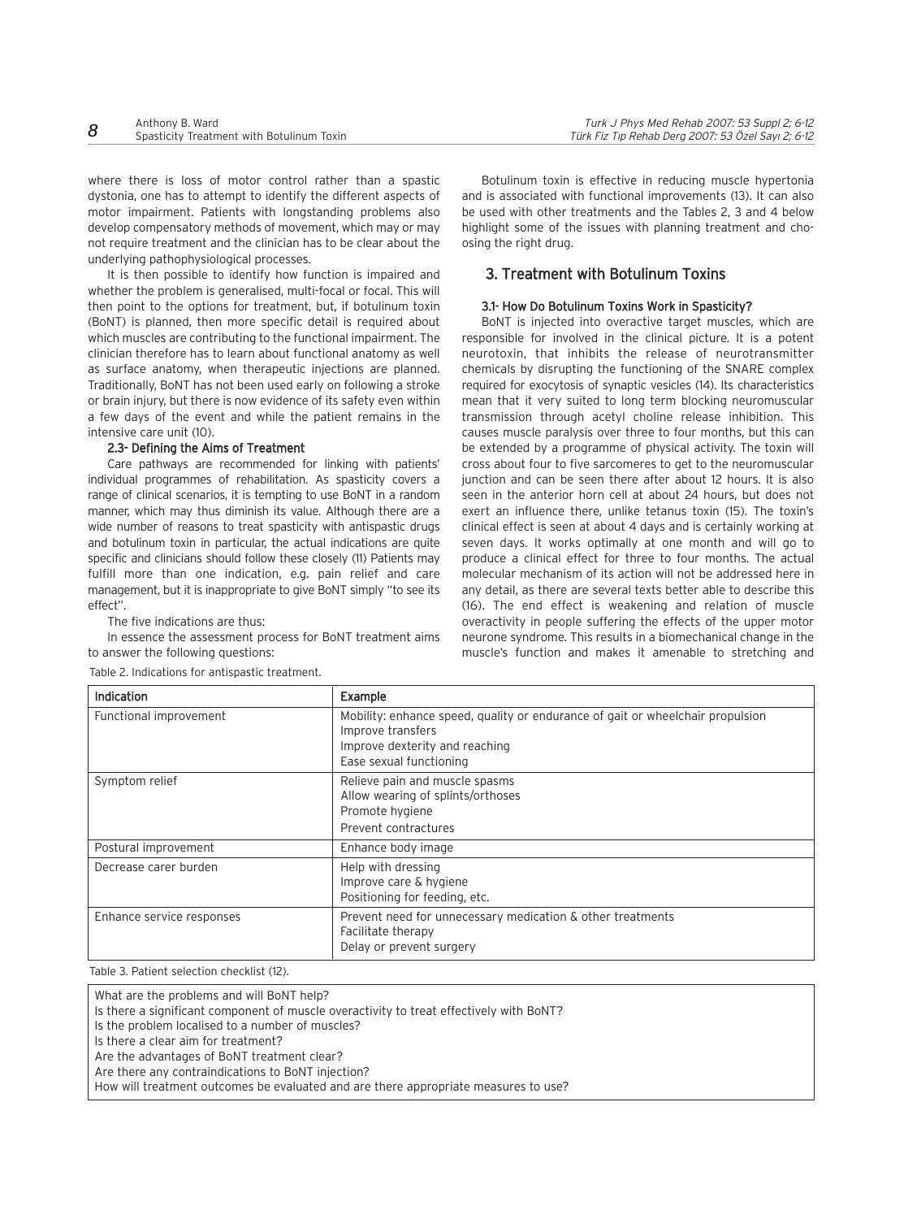| Anthony B. Ward                           | Turk J Phys Med Rehab 2007: 53 Suppl 2; 6-12       |
|-------------------------------------------|----------------------------------------------------|
| Spasticity Treatment with Botulinum Toxin | Türk Fiz Tıp Rehab Dera 2007: 53 Özel Savı 2: 6-12 |

where there is loss of motor control rather than a spastic dystonia, one has to attempt to identify the different aspects of motor impairment. Patients with longstanding problems also develop compensatory methods of movement, which may or may not require treatment and the clinician has to be clear about the underlying pathophysiological processes.

It is then possible to identify how function is impaired and whether the problem is generalised, multi-focal or focal. This will then point to the options for treatment, but, if botulinum toxin (BoNT) is planned, then more specific detail is required about which muscles are contributing to the functional impairment. The clinician therefore has to learn about functional anatomy as well as surface anatomy, when therapeutic injections are planned. Traditionally, BoNT has not been used early on following a stroke or brain injury, but there is now evidence of its safety even within a few days of the event and while the patient remains in the intensive care unit (10).

#### 2.3- Defining the Aims of Treatment

Care pathways are recommended for linking with patients' individual programmes of rehabilitation. As spasticity covers a range of clinical scenarios, it is tempting to use BoNT in a random manner, which may thus diminish its value. Although there are a wide number of reasons to treat spasticity with antispastic drugs and botulinum toxin in particular, the actual indications are quite specific and clinicians should follow these closely (11) Patients may fulfill more than one indication, e.g. pain relief and care management, but it is inappropriate to give BoNT simply "to see its effect".

The five indications are thus:

In essence the assessment process for BoNT treatment aims to answer the following questions:

Botulinum toxin is effective in reducing muscle hypertonia and is associated with functional improvements (13). It can also be used with other treatments and the Tables 2, 3 and 4 below highlight some of the issues with planning treatment and choosing the right drug.

# 3. Treatment with Botulinum Toxins

#### 3.1- How Do Botulinum Toxins Work in Spasticity?

BoNT is injected into overactive target muscles, which are responsible for involved in the clinical picture. It is a potent neurotoxin, that inhibits the release of neurotransmitter chemicals by disrupting the functioning of the SNARE complex required for exocytosis of synaptic vesicles (14). Its characteristics mean that it very suited to long term blocking neuromuscular transmission through acetyl choline release inhibition. This causes muscle paralysis over three to four months, but this can be extended by a programme of physical activity. The toxin will cross about four to five sarcomeres to get to the neuromuscular junction and can be seen there after about 12 hours. It is also seen in the anterior horn cell at about 24 hours, but does not exert an influence there, unlike tetanus toxin (15). The toxin's clinical effect is seen at about 4 days and is certainly working at seven days. It works optimally at one month and will go to produce a clinical effect for three to four months. The actual molecular mechanism of its action will not be addressed here in any detail, as there are several texts better able to describe this (16). The end effect is weakening and relation of muscle overactivity in people suffering the effects of the upper motor neurone syndrome. This results in a biomechanical change in the muscle's function and makes it amenable to stretching and

| <b>Indication</b>         | Example                                                                                                                                                          |
|---------------------------|------------------------------------------------------------------------------------------------------------------------------------------------------------------|
| Functional improvement    | Mobility: enhance speed, quality or endurance of gait or wheelchair propulsion<br>Improve transfers<br>Improve dexterity and reaching<br>Ease sexual functioning |
| Symptom relief            | Relieve pain and muscle spasms<br>Allow wearing of splints/orthoses<br>Promote hygiene<br>Prevent contractures                                                   |
| Postural improvement      | Enhance body image                                                                                                                                               |
| Decrease carer burden     | Help with dressing<br>Improve care & hygiene<br>Positioning for feeding, etc.                                                                                    |
| Enhance service responses | Prevent need for unnecessary medication & other treatments<br>Facilitate therapy<br>Delay or prevent surgery                                                     |

Table 2. Indications for antispastic treatment.

Table 3. Patient selection checklist (12).

What are the problems and will BoNT help?

Is there a significant component of muscle overactivity to treat effectively with BoNT?

Is the problem localised to a number of muscles?

Is there a clear aim for treatment?

Are the advantages of BoNT treatment clear?

Are there any contraindications to BoNT injection?

How will treatment outcomes be evaluated and are there appropriate measures to use?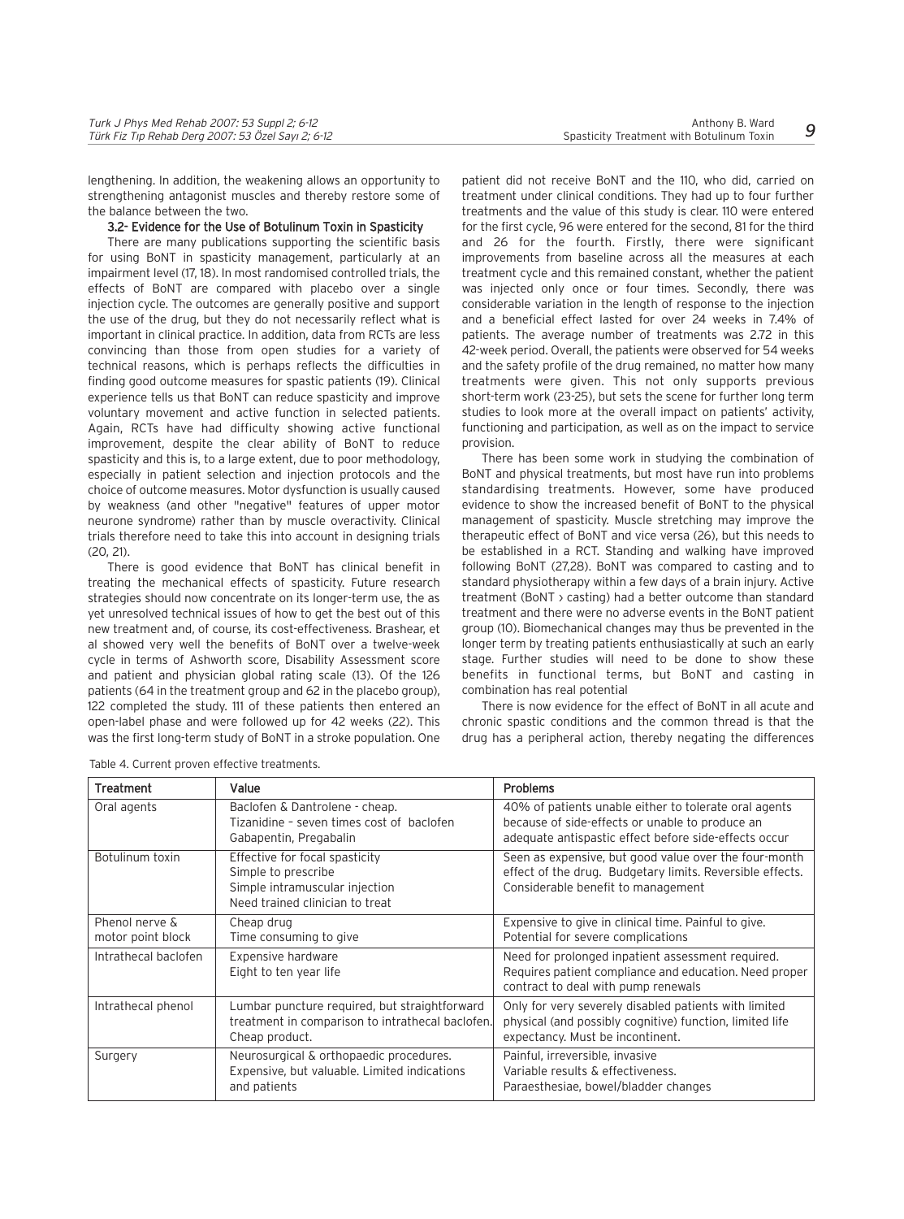lengthening. In addition, the weakening allows an opportunity to strengthening antagonist muscles and thereby restore some of the balance between the two.

#### 3.2- Evidence for the Use of Botulinum Toxin in Spasticity

There are many publications supporting the scientific basis for using BoNT in spasticity management, particularly at an impairment level (17, 18). In most randomised controlled trials, the effects of BoNT are compared with placebo over a single injection cycle. The outcomes are generally positive and support the use of the drug, but they do not necessarily reflect what is important in clinical practice. In addition, data from RCTs are less convincing than those from open studies for a variety of technical reasons, which is perhaps reflects the difficulties in finding good outcome measures for spastic patients (19). Clinical experience tells us that BoNT can reduce spasticity and improve voluntary movement and active function in selected patients. Again, RCTs have had difficulty showing active functional improvement, despite the clear ability of BoNT to reduce spasticity and this is, to a large extent, due to poor methodology, especially in patient selection and injection protocols and the choice of outcome measures. Motor dysfunction is usually caused by weakness (and other "negative" features of upper motor neurone syndrome) rather than by muscle overactivity. Clinical trials therefore need to take this into account in designing trials (20, 21).

There is good evidence that BoNT has clinical benefit in treating the mechanical effects of spasticity. Future research strategies should now concentrate on its longer-term use, the as yet unresolved technical issues of how to get the best out of this new treatment and, of course, its cost-effectiveness. Brashear, et al showed very well the benefits of BoNT over a twelve-week cycle in terms of Ashworth score, Disability Assessment score and patient and physician global rating scale (13). Of the 126 patients (64 in the treatment group and 62 in the placebo group), 122 completed the study. 111 of these patients then entered an open-label phase and were followed up for 42 weeks (22). This was the first long-term study of BoNT in a stroke population. One patient did not receive BoNT and the 110, who did, carried on treatment under clinical conditions. They had up to four further treatments and the value of this study is clear. 110 were entered for the first cycle, 96 were entered for the second, 81 for the third and 26 for the fourth. Firstly, there were significant improvements from baseline across all the measures at each treatment cycle and this remained constant, whether the patient was injected only once or four times. Secondly, there was considerable variation in the length of response to the injection and a beneficial effect lasted for over 24 weeks in 7.4% of patients. The average number of treatments was 2.72 in this 42-week period. Overall, the patients were observed for 54 weeks and the safety profile of the drug remained, no matter how many treatments were given. This not only supports previous short-term work (23-25), but sets the scene for further long term studies to look more at the overall impact on patients' activity, functioning and participation, as well as on the impact to service provision.

There has been some work in studying the combination of BoNT and physical treatments, but most have run into problems standardising treatments. However, some have produced evidence to show the increased benefit of BoNT to the physical management of spasticity. Muscle stretching may improve the therapeutic effect of BoNT and vice versa (26), but this needs to be established in a RCT. Standing and walking have improved following BoNT (27,28). BoNT was compared to casting and to standard physiotherapy within a few days of a brain injury. Active treatment (BoNT  $>$  casting) had a better outcome than standard treatment and there were no adverse events in the BoNT patient group (10). Biomechanical changes may thus be prevented in the longer term by treating patients enthusiastically at such an early stage. Further studies will need to be done to show these benefits in functional terms, but BoNT and casting in combination has real potential

There is now evidence for the effect of BoNT in all acute and chronic spastic conditions and the common thread is that the drug has a peripheral action, thereby negating the differences

| <b>Treatment</b>                    | Value                                                                                                                      | <b>Problems</b>                                                                                                                                                   |
|-------------------------------------|----------------------------------------------------------------------------------------------------------------------------|-------------------------------------------------------------------------------------------------------------------------------------------------------------------|
| Oral agents                         | Baclofen & Dantrolene - cheap.<br>Tizanidine - seven times cost of baclofen<br>Gabapentin, Pregabalin                      | 40% of patients unable either to tolerate oral agents<br>because of side-effects or unable to produce an<br>adequate antispastic effect before side-effects occur |
| Botulinum toxin                     | Effective for focal spasticity<br>Simple to prescribe<br>Simple intramuscular injection<br>Need trained clinician to treat | Seen as expensive, but good value over the four-month<br>effect of the drug. Budgetary limits. Reversible effects.<br>Considerable benefit to management          |
| Phenol nerve &<br>motor point block | Cheap drug<br>Time consuming to give                                                                                       | Expensive to give in clinical time. Painful to give.<br>Potential for severe complications                                                                        |
| Intrathecal baclofen                | Expensive hardware<br>Eight to ten year life                                                                               | Need for prolonged inpatient assessment required.<br>Requires patient compliance and education. Need proper<br>contract to deal with pump renewals                |
| Intrathecal phenol                  | Lumbar puncture required, but straightforward<br>treatment in comparison to intrathecal baclofen.<br>Cheap product.        | Only for very severely disabled patients with limited<br>physical (and possibly cognitive) function, limited life<br>expectancy. Must be incontinent.             |
| Surgery                             | Neurosurgical & orthopaedic procedures.<br>Expensive, but valuable. Limited indications<br>and patients                    | Painful, irreversible, invasive<br>Variable results & effectiveness.<br>Paraesthesiae, bowel/bladder changes                                                      |

Table 4. Current proven effective treatments.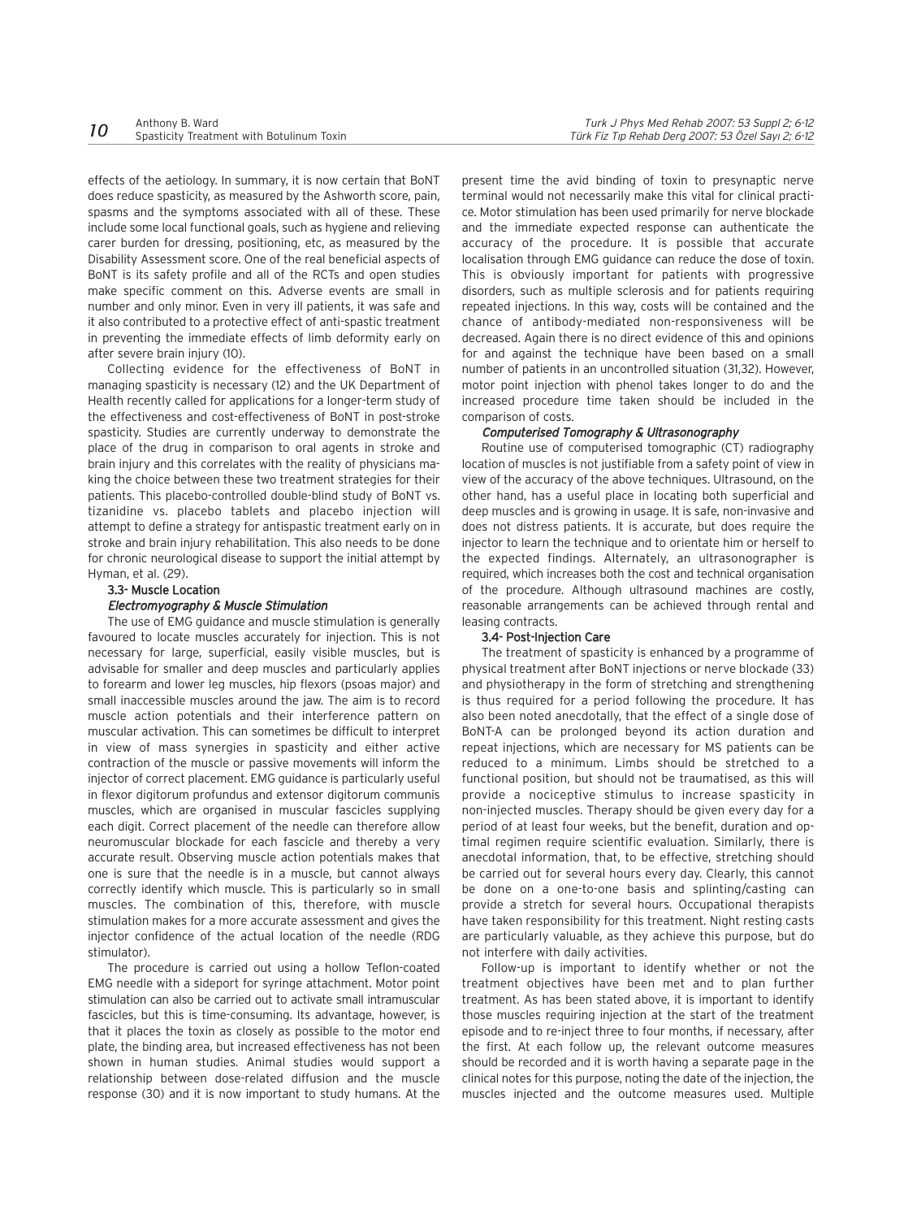effects of the aetiology. In summary, it is now certain that BoNT does reduce spasticity, as measured by the Ashworth score, pain, spasms and the symptoms associated with all of these. These include some local functional goals, such as hygiene and relieving carer burden for dressing, positioning, etc, as measured by the Disability Assessment score. One of the real beneficial aspects of BoNT is its safety profile and all of the RCTs and open studies make specific comment on this. Adverse events are small in number and only minor. Even in very ill patients, it was safe and it also contributed to a protective effect of anti-spastic treatment in preventing the immediate effects of limb deformity early on after severe brain injury (10).

Collecting evidence for the effectiveness of BoNT in managing spasticity is necessary (12) and the UK Department of Health recently called for applications for a longer-term study of the effectiveness and cost-effectiveness of BoNT in post-stroke spasticity. Studies are currently underway to demonstrate the place of the drug in comparison to oral agents in stroke and brain injury and this correlates with the reality of physicians making the choice between these two treatment strategies for their patients. This placebo-controlled double-blind study of BoNT vs. tizanidine vs. placebo tablets and placebo injection will attempt to define a strategy for antispastic treatment early on in stroke and brain injury rehabilitation. This also needs to be done for chronic neurological disease to support the initial attempt by Hyman, et al. (29).

## 3.3- Muscle Location

#### Electromyography & Muscle Stimulation

The use of EMG guidance and muscle stimulation is generally favoured to locate muscles accurately for injection. This is not necessary for large, superficial, easily visible muscles, but is advisable for smaller and deep muscles and particularly applies to forearm and lower leg muscles, hip flexors (psoas major) and small inaccessible muscles around the jaw. The aim is to record muscle action potentials and their interference pattern on muscular activation. This can sometimes be difficult to interpret in view of mass synergies in spasticity and either active contraction of the muscle or passive movements will inform the injector of correct placement. EMG guidance is particularly useful in flexor digitorum profundus and extensor digitorum communis muscles, which are organised in muscular fascicles supplying each digit. Correct placement of the needle can therefore allow neuromuscular blockade for each fascicle and thereby a very accurate result. Observing muscle action potentials makes that one is sure that the needle is in a muscle, but cannot always correctly identify which muscle. This is particularly so in small muscles. The combination of this, therefore, with muscle stimulation makes for a more accurate assessment and gives the injector confidence of the actual location of the needle (RDG stimulator).

The procedure is carried out using a hollow Teflon-coated EMG needle with a sideport for syringe attachment. Motor point stimulation can also be carried out to activate small intramuscular fascicles, but this is time-consuming. Its advantage, however, is that it places the toxin as closely as possible to the motor end plate, the binding area, but increased effectiveness has not been shown in human studies. Animal studies would support a relationship between dose-related diffusion and the muscle response (30) and it is now important to study humans. At the

present time the avid binding of toxin to presynaptic nerve terminal would not necessarily make this vital for clinical practice. Motor stimulation has been used primarily for nerve blockade and the immediate expected response can authenticate the accuracy of the procedure. It is possible that accurate localisation through EMG guidance can reduce the dose of toxin. This is obviously important for patients with progressive disorders, such as multiple sclerosis and for patients requiring repeated injections. In this way, costs will be contained and the chance of antibody-mediated non-responsiveness will be decreased. Again there is no direct evidence of this and opinions for and against the technique have been based on a small number of patients in an uncontrolled situation (31,32). However, motor point injection with phenol takes longer to do and the increased procedure time taken should be included in the comparison of costs.

### Computerised Tomography & Ultrasonography

Routine use of computerised tomographic (CT) radiography location of muscles is not justifiable from a safety point of view in view of the accuracy of the above techniques. Ultrasound, on the other hand, has a useful place in locating both superficial and deep muscles and is growing in usage. It is safe, non-invasive and does not distress patients. It is accurate, but does require the injector to learn the technique and to orientate him or herself to the expected findings. Alternately, an ultrasonographer is required, which increases both the cost and technical organisation of the procedure. Although ultrasound machines are costly, reasonable arrangements can be achieved through rental and leasing contracts.

#### 3.4- Post-Injection Care

The treatment of spasticity is enhanced by a programme of physical treatment after BoNT injections or nerve blockade (33) and physiotherapy in the form of stretching and strengthening is thus required for a period following the procedure. It has also been noted anecdotally, that the effect of a single dose of BoNT-A can be prolonged beyond its action duration and repeat injections, which are necessary for MS patients can be reduced to a minimum. Limbs should be stretched to a functional position, but should not be traumatised, as this will provide a nociceptive stimulus to increase spasticity in non-injected muscles. Therapy should be given every day for a period of at least four weeks, but the benefit, duration and optimal regimen require scientific evaluation. Similarly, there is anecdotal information, that, to be effective, stretching should be carried out for several hours every day. Clearly, this cannot be done on a one-to-one basis and splinting/casting can provide a stretch for several hours. Occupational therapists have taken responsibility for this treatment. Night resting casts are particularly valuable, as they achieve this purpose, but do not interfere with daily activities.

Follow-up is important to identify whether or not the treatment objectives have been met and to plan further treatment. As has been stated above, it is important to identify those muscles requiring injection at the start of the treatment episode and to re-inject three to four months, if necessary, after the first. At each follow up, the relevant outcome measures should be recorded and it is worth having a separate page in the clinical notes for this purpose, noting the date of the injection, the muscles injected and the outcome measures used. Multiple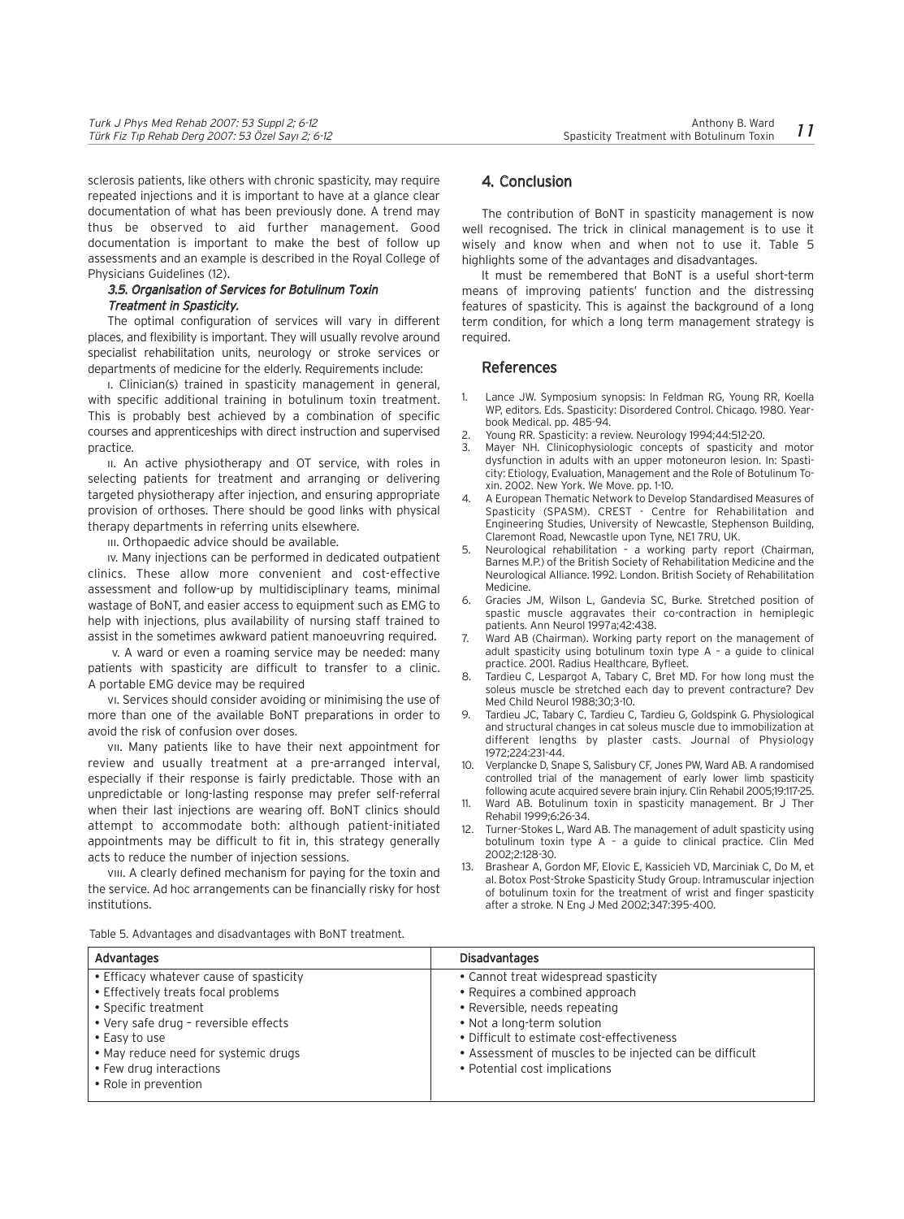sclerosis patients, like others with chronic spasticity, may require repeated injections and it is important to have at a glance clear documentation of what has been previously done. A trend may thus be observed to aid further management. Good documentation is important to make the best of follow up assessments and an example is described in the Royal College of Physicians Guidelines (12).

#### 3.5. Organisation of Services for Botulinum Toxin Treatment in Spasticity.

The optimal configuration of services will vary in different places, and flexibility is important. They will usually revolve around specialist rehabilitation units, neurology or stroke services or departments of medicine for the elderly. Requirements include:

›. Clinician(s) trained in spasticity management in general, with specific additional training in botulinum toxin treatment. This is probably best achieved by a combination of specific courses and apprenticeships with direct instruction and supervised practice.

II. An active physiotherapy and OT service, with roles in selecting patients for treatment and arranging or delivering targeted physiotherapy after injection, and ensuring appropriate provision of orthoses. There should be good links with physical therapy departments in referring units elsewhere.

 $\text{III.}$  Orthopaedic advice should be available.

›v. Many injections can be performed in dedicated outpatient clinics. These allow more convenient and cost-effective assessment and follow-up by multidisciplinary teams, minimal wastage of BoNT, and easier access to equipment such as EMG to help with injections, plus availability of nursing staff trained to assist in the sometimes awkward patient manoeuvring required.

v. A ward or even a roaming service may be needed: many patients with spasticity are difficult to transfer to a clinic. A portable EMG device may be required

vi. Services should consider avoiding or minimising the use of more than one of the available BoNT preparations in order to avoid the risk of confusion over doses.

vii. Many patients like to have their next appointment for review and usually treatment at a pre-arranged interval, especially if their response is fairly predictable. Those with an unpredictable or long-lasting response may prefer self-referral when their last injections are wearing off. BoNT clinics should attempt to accommodate both: although patient-initiated appointments may be difficult to fit in, this strategy generally acts to reduce the number of injection sessions.

viii. A clearly defined mechanism for paying for the toxin and the service. Ad hoc arrangements can be financially risky for host institutions.

# 4. Conclusion

The contribution of BoNT in spasticity management is now well recognised. The trick in clinical management is to use it wisely and know when and when not to use it. Table 5 highlights some of the advantages and disadvantages.

It must be remembered that BoNT is a useful short-term means of improving patients' function and the distressing features of spasticity. This is against the background of a long term condition, for which a long term management strategy is required.

# References

- 1. Lance JW. Symposium synopsis: In Feldman RG, Young RR, Koella WP, editors. Eds. Spasticity: Disordered Control. Chicago. 1980. Yearbook Medical. pp. 485-94.
- 2. Young RR. Spasticity: a review. Neurology 1994;44:512-20.
- Mayer NH. Clinicophysiologic concepts of spasticity and motor dysfunction in adults with an upper motoneuron lesion. In: Spasticity: Etiology, Evaluation, Management and the Role of Botulinum Toxin. 2002. New York. We Move. pp. 1-10.
- 4. A European Thematic Network to Develop Standardised Measures of Spasticity (SPASM). CREST - Centre for Rehabilitation and Engineering Studies, University of Newcastle, Stephenson Building, Claremont Road, Newcastle upon Tyne, NE1 7RU, UK.
- 5. Neurological rehabilitation a working party report (Chairman, Barnes M.P.) of the British Society of Rehabilitation Medicine and the Neurological Alliance. 1992. London. British Society of Rehabilitation Medicine.
- 6. Gracies JM, Wilson L, Gandevia SC, Burke. Stretched position of spastic muscle aggravates their co-contraction in hemiplegic patients. Ann Neurol 1997a;42:438.
- 7. Ward AB (Chairman). Working party report on the management of adult spasticity using botulinum toxin type  $A - a$  quide to clinical practice. 2001. Radius Healthcare, Byfleet.
- 8. Tardieu C, Lespargot A, Tabary C, Bret MD. For how long must the soleus muscle be stretched each day to prevent contracture? Dev Med Child Neurol 1988;30;3-10.
- 9. Tardieu JC, Tabary C, Tardieu C, Tardieu G, Goldspink G. Physiological and structural changes in cat soleus muscle due to immobilization at different lengths by plaster casts. Journal of Physiology 1972;224:231-44.
- 10. Verplancke D, Snape S, Salisbury CF, Jones PW, Ward AB. A randomised controlled trial of the management of early lower limb spasticity following acute acquired severe brain injury. Clin Rehabil 2005;19:117-25.
- 11. Ward AB. Botulinum toxin in spasticity management. Br J Ther Rehabil 1999;6:26-34.
- 12. Turner-Stokes L, Ward AB. The management of adult spasticity using botulinum toxin type A – a guide to clinical practice. Clin Med 2002;2:128-30.
- 13. Brashear A, Gordon MF, Elovic E, Kassicieh VD, Marciniak C, Do M, et al. Botox Post-Stroke Spasticity Study Group. Intramuscular injection of botulinum toxin for the treatment of wrist and finger spasticity after a stroke. N Eng J Med 2002;347:395-400.

Table 5. Advantages and disadvantages with BoNT treatment.

| <b>Disadvantages</b>                                    |
|---------------------------------------------------------|
| • Cannot treat widespread spasticity                    |
| • Requires a combined approach                          |
| • Reversible, needs repeating                           |
| • Not a long-term solution                              |
| • Difficult to estimate cost-effectiveness              |
| • Assessment of muscles to be injected can be difficult |
| • Potential cost implications                           |
|                                                         |
|                                                         |